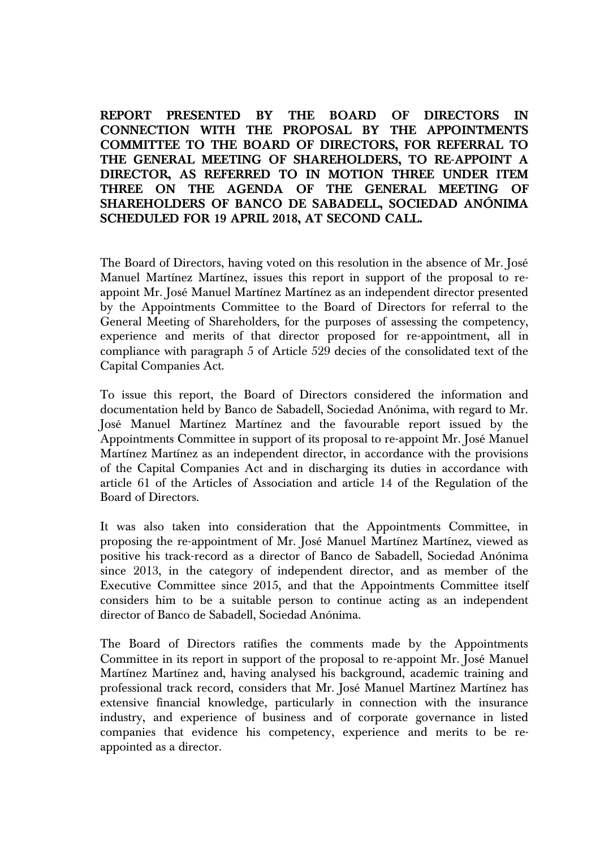**REPORT PRESENTED BY THE BOARD OF DIRECTORS IN CONNECTION WITH THE PROPOSAL BY THE APPOINTMENTS COMMITTEE TO THE BOARD OF DIRECTORS, FOR REFERRAL TO THE GENERAL MEETING OF SHAREHOLDERS, TO RE-APPOINT A DIRECTOR, AS REFERRED TO IN MOTION THREE UNDER ITEM THREE ON THE AGENDA OF THE GENERAL MEETING OF SHAREHOLDERS OF BANCO DE SABADELL, SOCIEDAD ANÓNIMA SCHEDULED FOR 19 APRIL 2018, AT SECOND CALL.**

The Board of Directors, having voted on this resolution in the absence of Mr. José Manuel Martínez Martínez, issues this report in support of the proposal to reappoint Mr. José Manuel Martínez Martínez as an independent director presented by the Appointments Committee to the Board of Directors for referral to the General Meeting of Shareholders, for the purposes of assessing the competency, experience and merits of that director proposed for re-appointment, all in compliance with paragraph 5 of Article 529 decies of the consolidated text of the Capital Companies Act.

To issue this report, the Board of Directors considered the information and documentation held by Banco de Sabadell, Sociedad Anónima, with regard to Mr. José Manuel Martínez Martínez and the favourable report issued by the Appointments Committee in support of its proposal to re-appoint Mr. José Manuel Martínez Martínez as an independent director, in accordance with the provisions of the Capital Companies Act and in discharging its duties in accordance with article 61 of the Articles of Association and article 14 of the Regulation of the Board of Directors.

It was also taken into consideration that the Appointments Committee, in proposing the re-appointment of Mr. José Manuel Martínez Martínez, viewed as positive his track-record as a director of Banco de Sabadell, Sociedad Anónima since 2013, in the category of independent director, and as member of the Executive Committee since 2015, and that the Appointments Committee itself considers him to be a suitable person to continue acting as an independent director of Banco de Sabadell, Sociedad Anónima.

The Board of Directors ratifies the comments made by the Appointments Committee in its report in support of the proposal to re-appoint Mr. José Manuel Martínez Martínez and, having analysed his background, academic training and professional track record, considers that Mr. José Manuel Martínez Martínez has extensive financial knowledge, particularly in connection with the insurance industry, and experience of business and of corporate governance in listed companies that evidence his competency, experience and merits to be reappointed as a director.